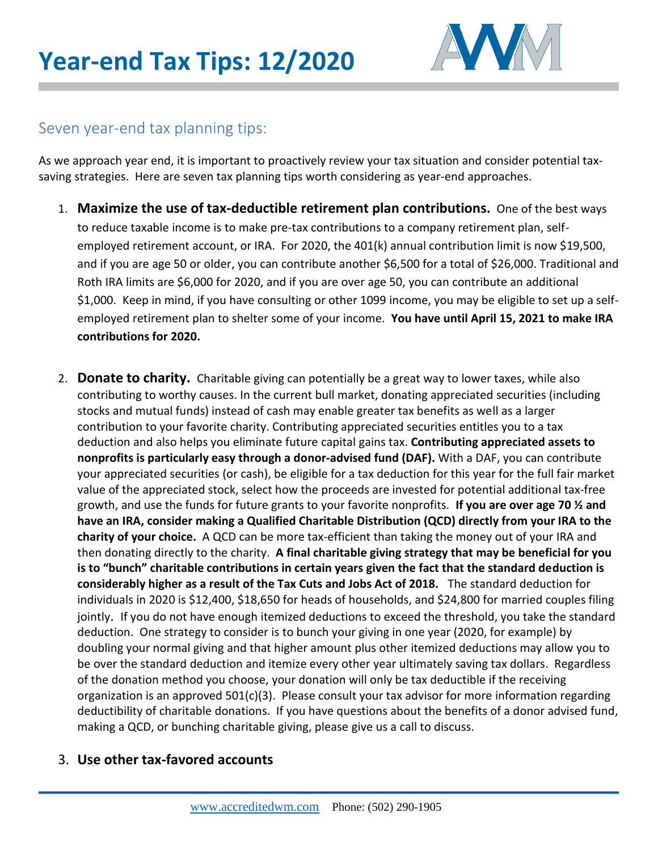

### Seven year-end tax planning tips:

As we approach year end, it is important to proactively review your tax situation and consider potential taxsaving strategies. Here are seven tax planning tips worth considering as year-end approaches.

- 1. **Maximize the use of tax-deductible retirement plan contributions.** One of the best ways to reduce taxable income is to make pre-tax contributions to a company retirement plan, selfemployed retirement account, or IRA. For 2020, the 401(k) annual contribution limit is now \$19,500, and if you are age 50 or older, you can contribute another \$6,500 for a total of \$26,000. Traditional and Roth IRA limits are \$6,000 for 2020, and if you are over age 50, you can contribute an additional \$1,000. Keep in mind, if you have consulting or other 1099 income, you may be eligible to set up a selfemployed retirement plan to shelter some of your income. **You have until April 15, 2021 to make IRA contributions for 2020.**
- 2. **Donate to charity.** Charitable giving can potentially be a great way to lower taxes, while also contributing to worthy causes. In the current bull market, donating appreciated securities (including stocks and mutual funds) instead of cash may enable greater tax benefits as well as a larger contribution to your favorite charity. Contributing appreciated securities entitles you to a tax deduction and also helps you eliminate future capital gains tax. **Contributing appreciated assets to nonprofits is particularly easy through a donor-advised fund (DAF).** With a DAF, you can contribute your appreciated securities (or cash), be eligible for a tax deduction for this year for the full fair market value of the appreciated stock, select how the proceeds are invested for potential additional tax-free growth, and use the funds for future grants to your favorite nonprofits. **If you are over age 70 ½ and have an IRA, consider making a Qualified Charitable Distribution (QCD) directly from your IRA to the charity of your choice.** A QCD can be more tax-efficient than taking the money out of your IRA and then donating directly to the charity. **A final charitable giving strategy that may be beneficial for you is to "bunch" charitable contributions in certain years given the fact that the standard deduction is considerably higher as a result of the Tax Cuts and Jobs Act of 2018.** The standard deduction for individuals in 2020 is \$12,400, \$18,650 for heads of households, and \$24,800 for married couples filing jointly. If you do not have enough itemized deductions to exceed the threshold, you take the standard deduction. One strategy to consider is to bunch your giving in one year (2020, for example) by doubling your normal giving and that higher amount plus other itemized deductions may allow you to be over the standard deduction and itemize every other year ultimately saving tax dollars. Regardless of the donation method you choose, your donation will only be tax deductible if the receiving organization is an approved  $501(c)(3)$ . Please consult your tax advisor for more information regarding deductibility of charitable donations. If you have questions about the benefits of a donor advised fund, making a QCD, or bunching charitable giving, please give us a call to discuss.

### 3. **Use other tax-favored accounts**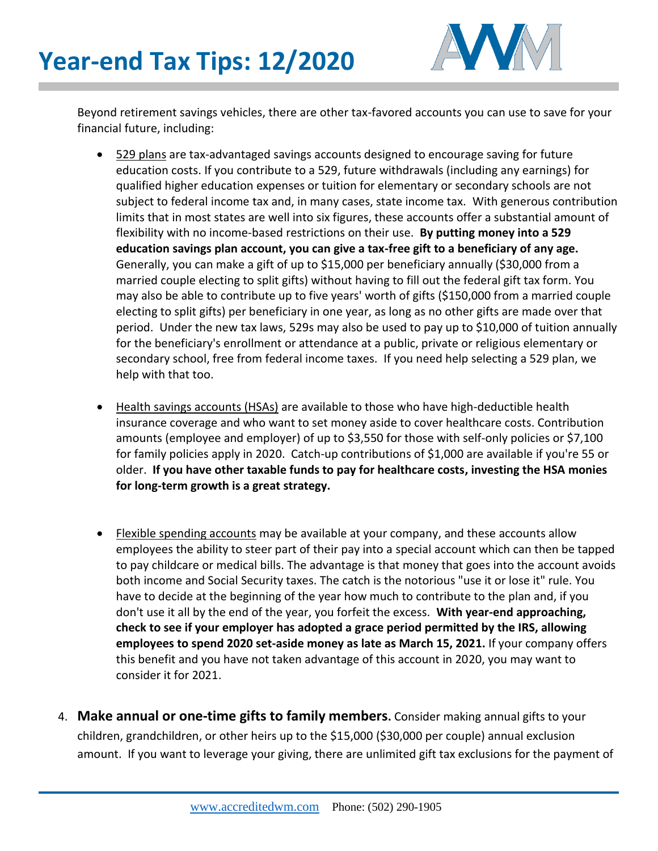

Beyond retirement savings vehicles, there are other tax-favored accounts you can use to save for your financial future, including:

- [529 plans](https://www.fool.com/retirement/2018/12/12/is-it-too-late-to-open-a-529-plan-if-my-kids-are-o.aspx) are tax-advantaged savings accounts designed to encourage saving for future education costs. If you contribute to a 529, future withdrawals (including any earnings) for qualified higher education expenses or tuition for elementary or secondary schools are not subject to federal income tax and, in many cases, state income tax. With generous contribution limits that in most states are well into six figures, these accounts offer a substantial amount of flexibility with no income-based restrictions on their use. **By putting money into a 529 education savings plan account, you can give a tax-free gift to a beneficiary of any age.**  Generally, you can make a gift of up to \$15,000 per beneficiary annually (\$30,000 from a married couple electing to split gifts) without having to fill out the federal gift tax form. You may also be able to contribute up to five years' worth of gifts (\$150,000 from a married couple electing to split gifts) per beneficiary in one year, as long as no other gifts are made over that period. Under the new tax laws, 529s may also be used to pay up to \$10,000 of tuition annually for the beneficiary's enrollment or attendance at a public, private or religious elementary or secondary school, free from federal income taxes. If you need help selecting a 529 plan, we help with that too.
- [Health savings accounts](https://www.fool.com/retirement/2018/11/17/2019-hsa-changes-make-the-most-of-health-savings-a.aspx) (HSAs) are available to those who have high-deductible health insurance coverage and who want to set money aside to cover healthcare costs. Contribution amounts (employee and employer) of up to \$3,550 for those with self-only policies or \$7,100 for family policies apply in 2020. Catch-up contributions of \$1,000 are available if you're 55 or older. **If you have other taxable funds to pay for healthcare costs, investing the HSA monies for long-term growth is a great strategy.**
- **Elexible spending accounts may be available at your company, and these accounts allow** employees the ability to steer part of their pay into a special account which can then be tapped to pay childcare or medical bills. The advantage is that money that goes into the account avoids both income and Social Security taxes. The catch is the notorious "use it or lose it" rule. You have to decide at the beginning of the year how much to contribute to the plan and, if you don't use it all by the end of the year, you forfeit the excess. **With year-end approaching, check to see if your employer has adopted a grace period permitted by the IRS, allowing employees to spend 2020 set-aside money as late as March 15, 2021.** If your company offers this benefit and you have not taken advantage of this account in 2020, you may want to consider it for 2021.
- 4. **Make annual or one-time gifts to family members.** Consider making annual gifts to your children, grandchildren, or other heirs up to the \$15,000 (\$30,000 per couple) annual exclusion amount. If you want to leverage your giving, there are unlimited gift tax exclusions for the payment of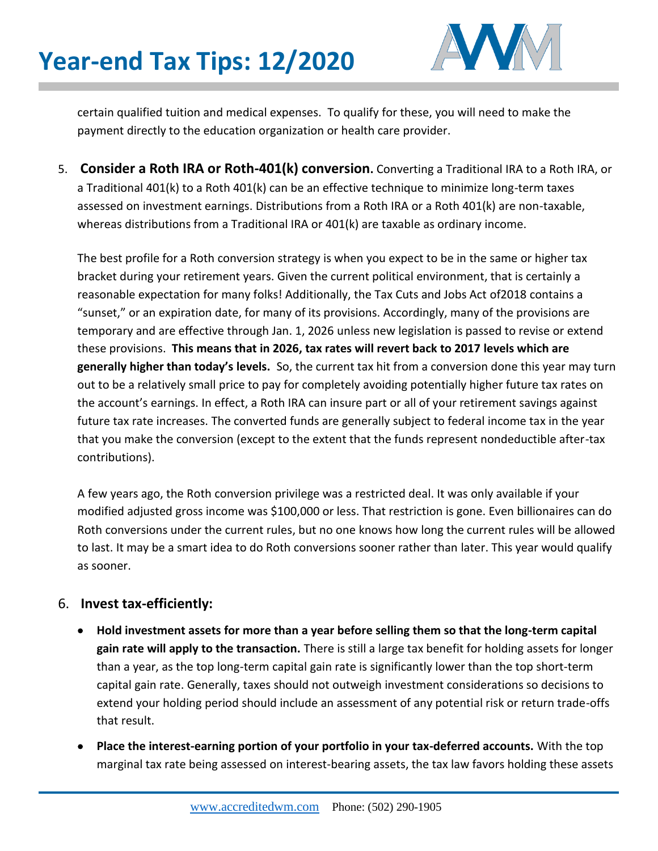## **Year-end Tax Tips: 12/2020**



certain qualified tuition and medical expenses. To qualify for these, you will need to make the payment directly to the education organization or health care provider.

5. **Consider a Roth IRA or Roth-401(k) conversion.** Converting a Traditional IRA to a Roth IRA, or a Traditional 401(k) to a Roth 401(k) can be an effective technique to minimize long-term taxes assessed on investment earnings. Distributions from a Roth IRA or a Roth 401(k) are non-taxable, whereas distributions from a Traditional IRA or 401(k) are taxable as ordinary income.

The best profile for a Roth conversion strategy is when you expect to be in the same or higher tax bracket during your retirement years. Given the current political environment, that is certainly a reasonable expectation for many folks! Additionally, the Tax Cuts and Jobs Act of2018 contains a "sunset," or an expiration date, for many of its provisions. Accordingly, many of the provisions are temporary and are effective through Jan. 1, 2026 unless new legislation is passed to revise or extend these provisions. **This means that in 2026, tax rates will revert back to 2017 levels which are generally higher than today's levels.** So, the current tax hit from a conversion done this year may turn out to be a relatively small price to pay for completely avoiding potentially higher future tax rates on the account's earnings. In effect, a Roth IRA can insure part or all of your retirement savings against future tax rate increases. The converted funds are generally subject to federal income tax in the year that you make the conversion (except to the extent that the funds represent nondeductible after-tax contributions).

A few years ago, the Roth conversion privilege was a restricted deal. It was only available if your modified adjusted gross income was \$100,000 or less. That restriction is gone. Even billionaires can do Roth conversions under the current rules, but no one knows how long the current rules will be allowed to last. It may be a smart idea to do Roth conversions sooner rather than later. This year would qualify as sooner.

#### 6. **Invest tax-efficiently:**

- **Hold investment assets for more than a year before selling them so that the long-term capital gain rate will apply to the transaction.** There is still a large tax benefit for holding assets for longer than a year, as the top long-term capital gain rate is significantly lower than the top short-term capital gain rate. Generally, taxes should not outweigh investment considerations so decisions to extend your holding period should include an assessment of any potential risk or return trade-offs that result.
- **Place the interest-earning portion of your portfolio in your tax-deferred accounts.** With the top marginal tax rate being assessed on interest-bearing assets, the tax law favors holding these assets